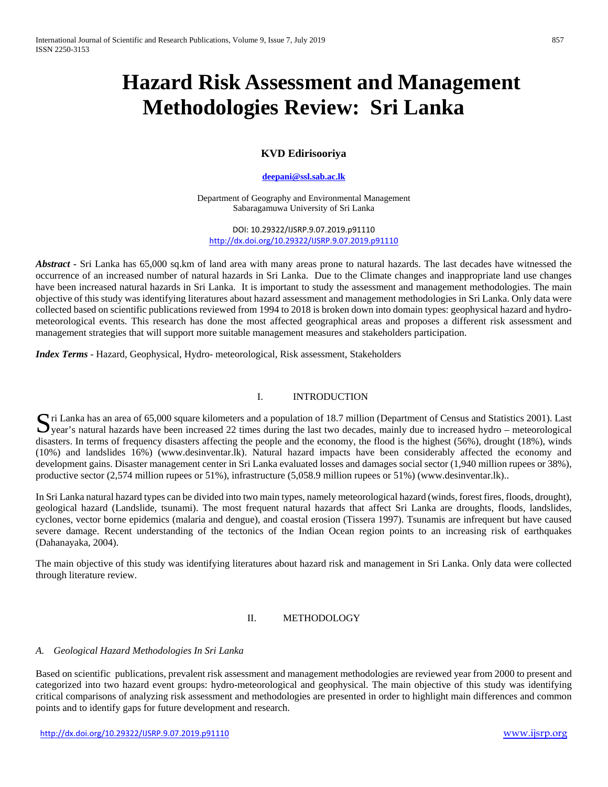# **Hazard Risk Assessment and Management Methodologies Review: Sri Lanka**

## **KVD Edirisooriya**

#### **[deepani@ssl.sab.ac.lk](mailto:deepani@ssl.sab.ac.lk)**

Department of Geography and Environmental Management Sabaragamuwa University of Sri Lanka

DOI: 10.29322/IJSRP.9.07.2019.p91110 <http://dx.doi.org/10.29322/IJSRP.9.07.2019.p91110>

*Abstract* • Sri Lanka has 65,000 sq.km of land area with many areas prone to natural hazards. The last decades have witnessed the occurrence of an increased number of natural hazards in Sri Lanka. Due to the Climate changes and inappropriate land use changes have been increased natural hazards in Sri Lanka. It is important to study the assessment and management methodologies. The main objective of this study was identifying literatures about hazard assessment and management methodologies in Sri Lanka. Only data were collected based on scientific publications reviewed from 1994 to 2018 is broken down into domain types: geophysical hazard and hydrometeorological events. This research has done the most affected geographical areas and proposes a different risk assessment and management strategies that will support more suitable management measures and stakeholders participation.

*Index Terms* - Hazard, Geophysical, Hydro- meteorological, Risk assessment, Stakeholders

#### I. INTRODUCTION

Stri Lanka has an area of 65,000 square kilometers and a population of 18.7 million (Department of Census and Statistics 2001). Last year's natural hazards have been increased 22 times during the last two decades, mainly d  $\sum$ year's natural hazards have been increased 22 times during the last two decades, mainly due to increased hydro – meteorological disasters. In terms of frequency disasters affecting the people and the economy, the flood is the highest (56%), drought (18%), winds (10%) and landslides 16%) (www.desinventar.lk). Natural hazard impacts have been considerably affected the economy and development gains. Disaster management center in Sri Lanka evaluated losses and damages social sector (1,940 million rupees or 38%), productive sector (2,574 million rupees or 51%), infrastructure (5,058.9 million rupees or 51%) (www.desinventar.lk)..

In Sri Lanka natural hazard types can be divided into two main types, namely meteorological hazard (winds, forest fires, floods, drought), geological hazard (Landslide, tsunami). The most frequent natural hazards that affect Sri Lanka are droughts, floods, landslides, cyclones, vector borne epidemics (malaria and dengue), and coastal erosion (Tissera 1997). Tsunamis are infrequent but have caused severe damage. Recent understanding of the tectonics of the Indian Ocean region points to an increasing risk of earthquakes (Dahanayaka, 2004).

The main objective of this study was identifying literatures about hazard risk and management in Sri Lanka. Only data were collected through literature review.

#### II. METHODOLOGY

#### *A. Geological Hazard Methodologies In Sri Lanka*

Based on scientific publications, prevalent risk assessment and management methodologies are reviewed year from 2000 to present and categorized into two hazard event groups: hydro-meteorological and geophysical. The main objective of this study was identifying critical comparisons of analyzing risk assessment and methodologies are presented in order to highlight main differences and common points and to identify gaps for future development and research.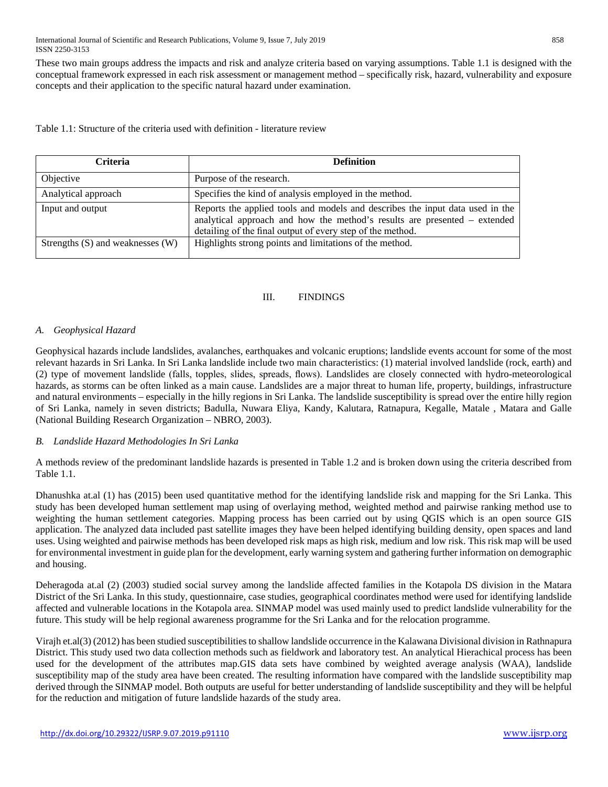These two main groups address the impacts and risk and analyze criteria based on varying assumptions. Table 1.1 is designed with the conceptual framework expressed in each risk assessment or management method – specifically risk, hazard, vulnerability and exposure concepts and their application to the specific natural hazard under examination.

Table 1.1: Structure of the criteria used with definition - literature review

| <b>Criteria</b>                  | <b>Definition</b>                                                                                                                                                                                                        |
|----------------------------------|--------------------------------------------------------------------------------------------------------------------------------------------------------------------------------------------------------------------------|
| Objective                        | Purpose of the research.                                                                                                                                                                                                 |
| Analytical approach              | Specifies the kind of analysis employed in the method.                                                                                                                                                                   |
| Input and output                 | Reports the applied tools and models and describes the input data used in the<br>analytical approach and how the method's results are presented – extended<br>detailing of the final output of every step of the method. |
| Strengths (S) and weaknesses (W) | Highlights strong points and limitations of the method.                                                                                                                                                                  |

### III. FINDINGS

## *A. Geophysical Hazard*

Geophysical hazards include landslides, avalanches, earthquakes and volcanic eruptions; landslide events account for some of the most relevant hazards in Sri Lanka. In Sri Lanka landslide include two main characteristics: (1) material involved landslide (rock, earth) and (2) type of movement landslide (falls, topples, slides, spreads, flows). Landslides are closely connected with hydro-meteorological hazards, as storms can be often linked as a main cause. Landslides are a major threat to human life, property, buildings, infrastructure and natural environments – especially in the hilly regions in Sri Lanka. The landslide susceptibility is spread over the entire hilly region of Sri Lanka, namely in seven districts; Badulla, Nuwara Eliya, Kandy, Kalutara, Ratnapura, Kegalle, Matale , Matara and Galle (National Building Research Organization – NBRO, 2003).

## *B. Landslide Hazard Methodologies In Sri Lanka*

A methods review of the predominant landslide hazards is presented in Table 1.2 and is broken down using the criteria described from Table 1.1.

Dhanushka at.al (1) has (2015) been used quantitative method for the identifying landslide risk and mapping for the Sri Lanka. This study has been developed human settlement map using of overlaying method, weighted method and pairwise ranking method use to weighting the human settlement categories. Mapping process has been carried out by using QGIS which is an open source GIS application. The analyzed data included past satellite images they have been helped identifying building density, open spaces and land uses. Using weighted and pairwise methods has been developed risk maps as high risk, medium and low risk. This risk map will be used for environmental investment in guide plan for the development, early warning system and gathering further information on demographic and housing.

Deheragoda at.al (2) (2003) studied social survey among the landslide affected families in the Kotapola DS division in the Matara District of the Sri Lanka. In this study, questionnaire, case studies, geographical coordinates method were used for identifying landslide affected and vulnerable locations in the Kotapola area. SINMAP model was used mainly used to predict landslide vulnerability for the future. This study will be help regional awareness programme for the Sri Lanka and for the relocation programme.

Virajh et.al(3) (2012) has been studied susceptibilities to shallow landslide occurrence in the Kalawana Divisional division in Rathnapura District. This study used two data collection methods such as fieldwork and laboratory test. An analytical Hierachical process has been used for the development of the attributes map.GIS data sets have combined by weighted average analysis (WAA), landslide susceptibility map of the study area have been created. The resulting information have compared with the landslide susceptibility map derived through the SINMAP model. Both outputs are useful for better understanding of landslide susceptibility and they will be helpful for the reduction and mitigation of future landslide hazards of the study area.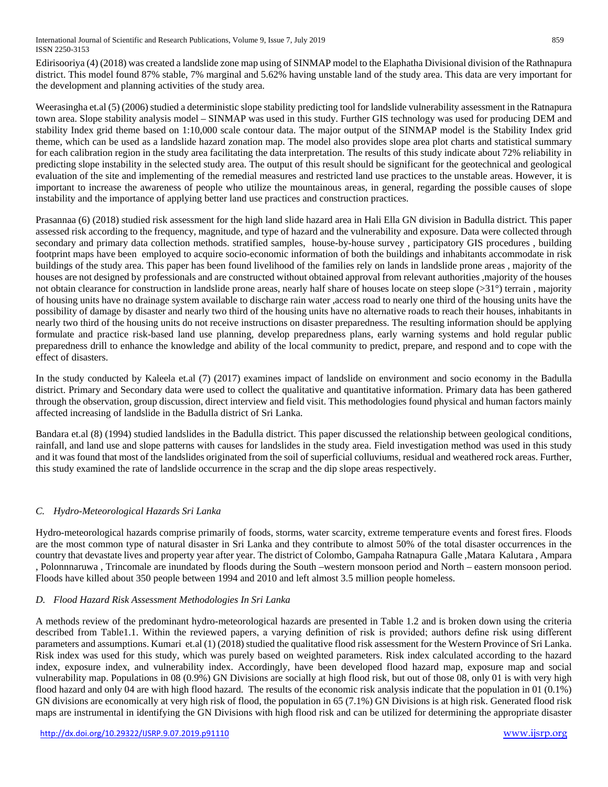Edirisooriya (4) (2018) was created a landslide zone map using of SINMAP model to the Elaphatha Divisional division of the Rathnapura district. This model found 87% stable, 7% marginal and 5.62% having unstable land of the study area. This data are very important for the development and planning activities of the study area.

Weerasingha et.al (5) (2006) studied a deterministic slope stability predicting tool for landslide vulnerability assessment in the Ratnapura town area. Slope stability analysis model – SINMAP was used in this study. Further GIS technology was used for producing DEM and stability Index grid theme based on 1:10,000 scale contour data. The major output of the SINMAP model is the Stability Index grid theme, which can be used as a landslide hazard zonation map. The model also provides slope area plot charts and statistical summary for each calibration region in the study area facilitating the data interpretation. The results of this study indicate about 72% reliability in predicting slope instability in the selected study area. The output of this result should be significant for the geotechnical and geological evaluation of the site and implementing of the remedial measures and restricted land use practices to the unstable areas. However, it is important to increase the awareness of people who utilize the mountainous areas, in general, regarding the possible causes of slope instability and the importance of applying better land use practices and construction practices.

Prasannaa (6) (2018) studied risk assessment for the high land slide hazard area in Hali Ella GN division in Badulla district. This paper assessed risk according to the frequency, magnitude, and type of hazard and the vulnerability and exposure. Data were collected through secondary and primary data collection methods. stratified samples, house-by-house survey , participatory GIS procedures , building footprint maps have been employed to acquire socio-economic information of both the buildings and inhabitants accommodate in risk buildings of the study area. This paper has been found livelihood of the families rely on lands in landslide prone areas , majority of the houses are not designed by professionals and are constructed without obtained approval from relevant authorities ,majority of the houses not obtain clearance for construction in landslide prone areas, nearly half share of houses locate on steep slope (>31°) terrain, majority of housing units have no drainage system available to discharge rain water ,access road to nearly one third of the housing units have the possibility of damage by disaster and nearly two third of the housing units have no alternative roads to reach their houses, inhabitants in nearly two third of the housing units do not receive instructions on disaster preparedness. The resulting information should be applying formulate and practice risk-based land use planning, develop preparedness plans, early warning systems and hold regular public preparedness drill to enhance the knowledge and ability of the local community to predict, prepare, and respond and to cope with the effect of disasters.

In the study conducted by Kaleela et.al (7) (2017) examines impact of landslide on environment and socio economy in the Badulla district. Primary and Secondary data were used to collect the qualitative and quantitative information. Primary data has been gathered through the observation, group discussion, direct interview and field visit. This methodologies found physical and human factors mainly affected increasing of landslide in the Badulla district of Sri Lanka.

Bandara et.al (8) (1994) studied landslides in the Badulla district. This paper discussed the relationship between geological conditions, rainfall, and land use and slope patterns with causes for landslides in the study area. Field investigation method was used in this study and it was found that most of the landslides originated from the soil of superficial colluviums, residual and weathered rock areas. Further, this study examined the rate of landslide occurrence in the scrap and the dip slope areas respectively.

# *C. Hydro-Meteorological Hazards Sri Lanka*

Hydro-meteorological hazards comprise primarily of foods, storms, water scarcity, extreme temperature events and forest fires. Floods are the most common type of natural disaster in Sri Lanka and they contribute to almost 50% of the total disaster occurrences in the country that devastate lives and property year after year. The district of Colombo, Gampaha Ratnapura Galle ,Matara Kalutara , Ampara , Polonnnaruwa , Trincomale are inundated by floods during the South –western monsoon period and North – eastern monsoon period. Floods have killed about 350 people between 1994 and 2010 and left almost 3.5 million people homeless.

# *D. Flood Hazard Risk Assessment Methodologies In Sri Lanka*

A methods review of the predominant hydro-meteorological hazards are presented in Table 1.2 and is broken down using the criteria described from Table1.1. Within the reviewed papers, a varying definition of risk is provided; authors define risk using different parameters and assumptions. Kumari et.al (1) (2018) studied the qualitative flood risk assessment for the Western Province of Sri Lanka. Risk index was used for this study, which was purely based on weighted parameters. Risk index calculated according to the hazard index, exposure index, and vulnerability index. Accordingly, have been developed flood hazard map, exposure map and social vulnerability map. Populations in 08 (0.9%) GN Divisions are socially at high flood risk, but out of those 08, only 01 is with very high flood hazard and only 04 are with high flood hazard. The results of the economic risk analysis indicate that the population in 01 (0.1%) GN divisions are economically at very high risk of flood, the population in 65 (7.1%) GN Divisions is at high risk. Generated flood risk maps are instrumental in identifying the GN Divisions with high flood risk and can be utilized for determining the appropriate disaster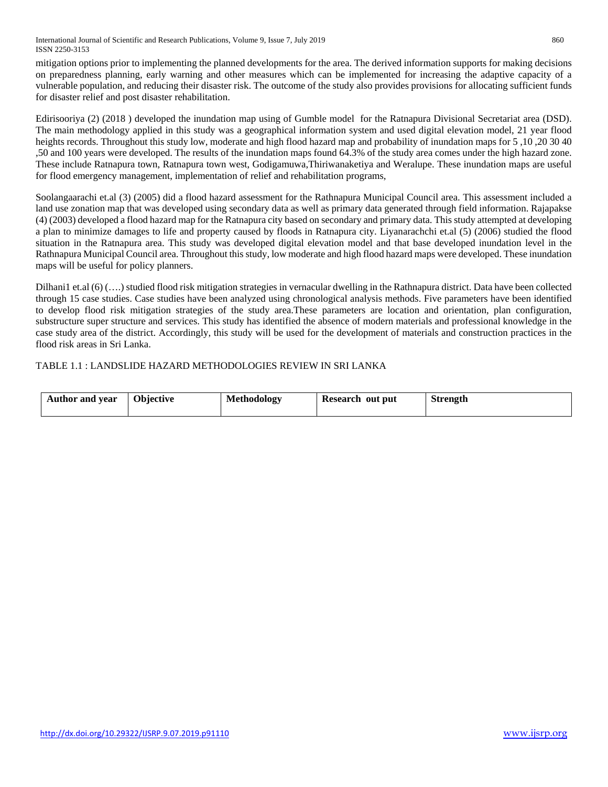International Journal of Scientific and Research Publications, Volume 9, Issue 7, July 2019 860 ISSN 2250-3153

mitigation options prior to implementing the planned developments for the area. The derived information supports for making decisions on preparedness planning, early warning and other measures which can be implemented for increasing the adaptive capacity of a vulnerable population, and reducing their disaster risk. The outcome of the study also provides provisions for allocating sufficient funds for disaster relief and post disaster rehabilitation.

Edirisooriya (2) (2018 ) developed the inundation map using of Gumble model for the Ratnapura Divisional Secretariat area (DSD). The main methodology applied in this study was a geographical information system and used digital elevation model, 21 year flood heights records. Throughout this study low, moderate and high flood hazard map and probability of inundation maps for 5,10,20 30 40 ,50 and 100 years were developed. The results of the inundation maps found 64.3% of the study area comes under the high hazard zone. These include Ratnapura town, Ratnapura town west, Godigamuwa,Thiriwanaketiya and Weralupe. These inundation maps are useful for flood emergency management, implementation of relief and rehabilitation programs,

Soolangaarachi et.al (3) (2005) did a flood hazard assessment for the Rathnapura Municipal Council area. This assessment included a land use zonation map that was developed using secondary data as well as primary data generated through field information. Rajapakse (4) (2003) developed a flood hazard map for the Ratnapura city based on secondary and primary data. This study attempted at developing a plan to minimize damages to life and property caused by floods in Ratnapura city. Liyanarachchi et.al (5) (2006) studied the flood situation in the Ratnapura area. This study was developed digital elevation model and that base developed inundation level in the Rathnapura Municipal Council area. Throughout this study, low moderate and high flood hazard maps were developed. These inundation maps will be useful for policy planners.

Dilhani1 et.al (6) (….) studied flood risk mitigation strategies in vernacular dwelling in the Rathnapura district. Data have been collected through 15 case studies. Case studies have been analyzed using chronological analysis methods. Five parameters have been identified to develop flood risk mitigation strategies of the study area.These parameters are location and orientation, plan configuration, substructure super structure and services. This study has identified the absence of modern materials and professional knowledge in the case study area of the district. Accordingly, this study will be used for the development of materials and construction practices in the flood risk areas in Sri Lanka.

### TABLE 1.1 : LANDSLIDE HAZARD METHODOLOGIES REVIEW IN SRI LANKA

| Objective<br><b>Author and year</b> | <b>Methodology</b> | Research out put | <b>Strength</b> |
|-------------------------------------|--------------------|------------------|-----------------|
|-------------------------------------|--------------------|------------------|-----------------|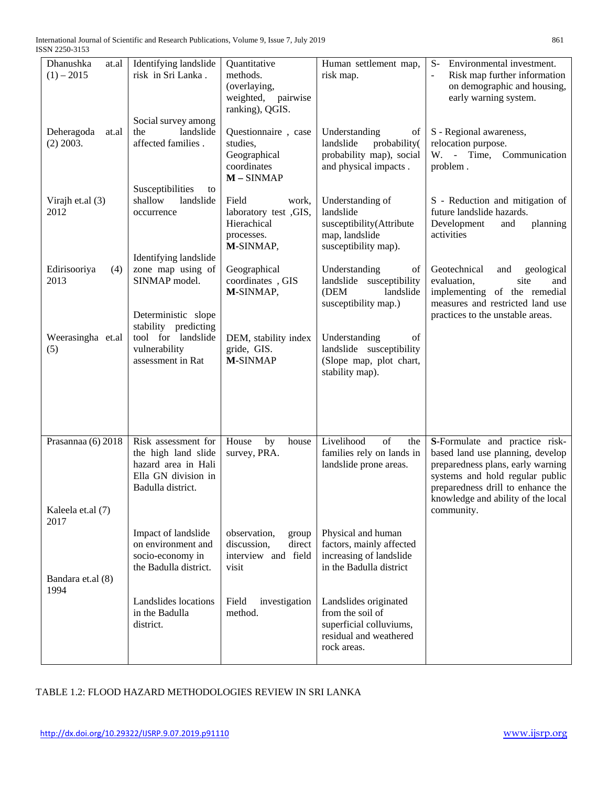| Dhanushka<br>at.al                              | Identifying landslide                                                                                         | Quantitative                                                                       | Human settlement map,                                                                                         | Environmental investment.<br>$S-$                                                                                                                                                                                                   |
|-------------------------------------------------|---------------------------------------------------------------------------------------------------------------|------------------------------------------------------------------------------------|---------------------------------------------------------------------------------------------------------------|-------------------------------------------------------------------------------------------------------------------------------------------------------------------------------------------------------------------------------------|
| $(1) - 2015$                                    | risk in Sri Lanka.<br>Social survey among                                                                     | methods.<br>(overlaying,<br>pairwise<br>weighted,<br>ranking), QGIS.               | risk map.                                                                                                     | Risk map further information<br>on demographic and housing,<br>early warning system.                                                                                                                                                |
| Deheragoda<br>at.al<br>$(2)$ 2003.              | landslide<br>the<br>affected families.                                                                        | Questionnaire, case<br>studies,<br>Geographical<br>coordinates<br>$M - SIMMP$      | Understanding<br>of<br>landslide<br>probability(<br>probability map), social<br>and physical impacts.         | S - Regional awareness,<br>relocation purpose.<br>W. - Time, Communication<br>problem.                                                                                                                                              |
| Virajh et.al (3)<br>2012                        | Susceptibilities<br>to<br>shallow<br>landslide<br>occurrence                                                  | Field<br>work,<br>laboratory test , GIS,<br>Hierachical<br>processes.<br>M-SINMAP, | Understanding of<br>landslide<br>susceptibility(Attribute<br>map, landslide<br>susceptibility map).           | S - Reduction and mitigation of<br>future landslide hazards.<br>Development<br>planning<br>and<br>activities                                                                                                                        |
| Edirisooriya<br>(4)<br>2013                     | Identifying landslide<br>zone map using of<br>SINMAP model.                                                   | Geographical<br>coordinates, GIS<br>M-SINMAP,                                      | Understanding<br>of<br>landslide susceptibility<br>(DEM<br>landslide<br>susceptibility map.)                  | Geotechnical<br>and<br>geological<br>evaluation,<br>site<br>and<br>implementing of the remedial<br>measures and restricted land use                                                                                                 |
| Weerasingha et.al<br>(5)                        | Deterministic slope<br>stability predicting<br>tool for landslide<br>vulnerability<br>assessment in Rat       | DEM, stability index<br>gride, GIS.<br><b>M-SINMAP</b>                             | Understanding<br>of<br>landslide susceptibility<br>(Slope map, plot chart,<br>stability map).                 | practices to the unstable areas.                                                                                                                                                                                                    |
| Prasannaa (6) 2018<br>Kaleela et.al (7)<br>2017 | Risk assessment for<br>the high land slide<br>hazard area in Hali<br>Ella GN division in<br>Badulla district. | House<br>house<br>by<br>survey, PRA.                                               | Livelihood<br>of<br>the<br>families rely on lands in<br>landslide prone areas.                                | S-Formulate and practice risk-<br>based land use planning, develop<br>preparedness plans, early warning<br>systems and hold regular public<br>preparedness drill to enhance the<br>knowledge and ability of the local<br>community. |
| Bandara et.al (8)                               | Impact of landslide<br>on environment and<br>socio-economy in<br>the Badulla district.                        | observation,<br>group<br>discussion,<br>direct<br>interview and field<br>visit     | Physical and human<br>factors, mainly affected<br>increasing of landslide<br>in the Badulla district          |                                                                                                                                                                                                                                     |
| 1994                                            | Landslides locations<br>in the Badulla<br>district.                                                           | Field<br>investigation<br>method.                                                  | Landslides originated<br>from the soil of<br>superficial colluviums,<br>residual and weathered<br>rock areas. |                                                                                                                                                                                                                                     |

# TABLE 1.2: FLOOD HAZARD METHODOLOGIES REVIEW IN SRI LANKA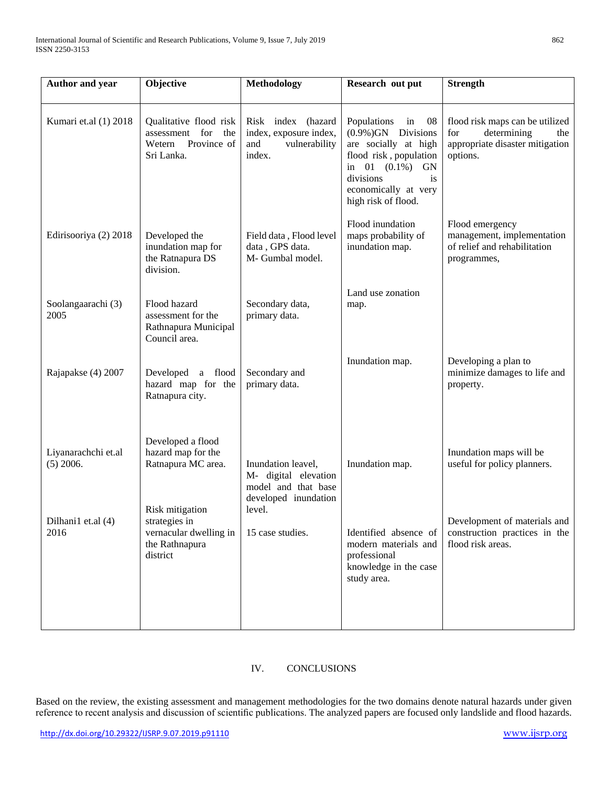| Author and year                    | Objective                                                                                 | Methodology                                                                                         | Research out put                                                                                                                                                                                        | <b>Strength</b>                                                                                             |
|------------------------------------|-------------------------------------------------------------------------------------------|-----------------------------------------------------------------------------------------------------|---------------------------------------------------------------------------------------------------------------------------------------------------------------------------------------------------------|-------------------------------------------------------------------------------------------------------------|
| Kumari et.al (1) 2018              | Qualitative flood risk<br>for<br>assessment<br>the<br>Province of<br>Wetern<br>Sri Lanka. | Risk index (hazard<br>index, exposure index,<br>and<br>vulnerability<br>index.                      | Populations<br>- 08<br>in<br>$(0.9\%)$ GN Divisions<br>are socially at high<br>flood risk, population<br>in 01 $(0.1\%)$<br><b>GN</b><br>divisions<br>is<br>economically at very<br>high risk of flood. | flood risk maps can be utilized<br>for<br>determining<br>the<br>appropriate disaster mitigation<br>options. |
| Edirisooriya (2) 2018              | Developed the<br>inundation map for<br>the Ratnapura DS<br>division.                      | Field data, Flood level<br>data, GPS data.<br>M- Gumbal model.                                      | Flood inundation<br>maps probability of<br>inundation map.                                                                                                                                              | Flood emergency<br>management, implementation<br>of relief and rehabilitation<br>programmes,                |
| Soolangaarachi (3)<br>2005         | Flood hazard<br>assessment for the<br>Rathnapura Municipal<br>Council area.               | Secondary data,<br>primary data.                                                                    | Land use zonation<br>map.                                                                                                                                                                               |                                                                                                             |
| Rajapakse (4) 2007                 | Developed a flood<br>hazard map for the<br>Ratnapura city.                                | Secondary and<br>primary data.                                                                      | Inundation map.                                                                                                                                                                                         | Developing a plan to<br>minimize damages to life and<br>property.                                           |
| Liyanarachchi et.al<br>$(5)$ 2006. | Developed a flood<br>hazard map for the<br>Ratnapura MC area.<br>Risk mitigation          | Inundation leavel,<br>M- digital elevation<br>model and that base<br>developed inundation<br>level. | Inundation map.                                                                                                                                                                                         | Inundation maps will be<br>useful for policy planners.                                                      |
| Dilhani1 et.al (4)<br>2016         | strategies in<br>vernacular dwelling in<br>the Rathnapura<br>district                     | 15 case studies.                                                                                    | Identified absence of<br>modern materials and<br>professional<br>knowledge in the case<br>study area.                                                                                                   | Development of materials and<br>construction practices in the<br>flood risk areas.                          |

# IV. CONCLUSIONS

Based on the review, the existing assessment and management methodologies for the two domains denote natural hazards under given reference to recent analysis and discussion of scientific publications. The analyzed papers are focused only landslide and flood hazards.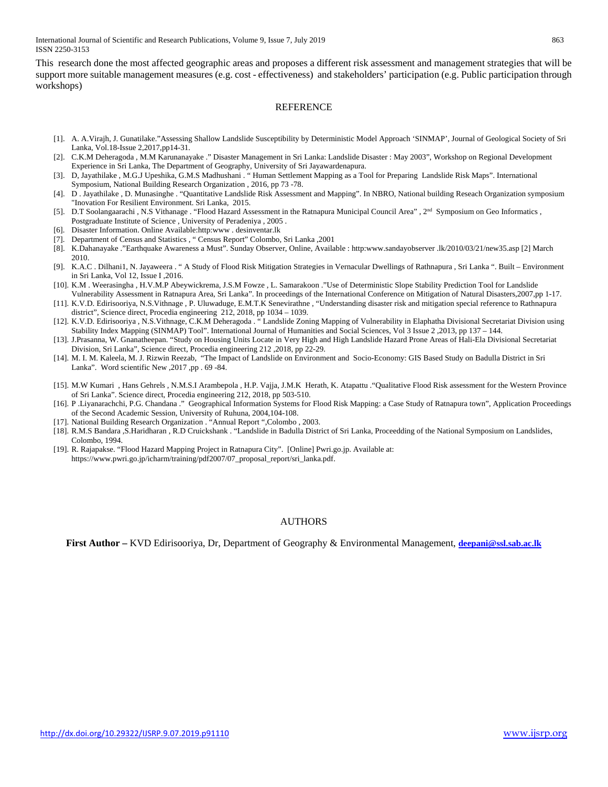International Journal of Scientific and Research Publications, Volume 9, Issue 7, July 2019 863 ISSN 2250-3153

This research done the most affected geographic areas and proposes a different risk assessment and management strategies that will be support more suitable management measures (e.g. cost - effectiveness) and stakeholders' participation (e.g. Public participation through workshops)

#### **REFERENCE**

- [1]. A. A.Virajh, J. Gunatilake."Assessing Shallow Landslide Susceptibility by Deterministic Model Approach 'SINMAP', Journal of Geological Society of Sri Lanka, Vol.18-Issue 2,2017,pp14-31.
- [2]. C.K.M Deheragoda , M.M Karunanayake ." Disaster Management in Sri Lanka: Landslide Disaster : May 2003", Workshop on Regional Development Experience in Sri Lanka, The Department of Geography, University of Sri Jayawardenapura.
- [3]. D, Jayathilake , M.G.J Upeshika, G.M.S Madhushani . " Human Settlement Mapping as a Tool for Preparing Landslide Risk Maps". International Symposium, National Building Research Organization , 2016, pp 73 -78.
- [4]. D . Jayathilake , D. Munasinghe . "Quantitative Landslide Risk Assessment and Mapping". In NBRO, National building Reseach Organization symposium "Inovation For Resilient Environment. Sri Lanka, 2015.
- [5]. D.T Soolangaarachi , N.S Vithanage . "Flood Hazard Assessment in the Ratnapura Municipal Council Area" , 2<sup>nd</sup> Symposium on Geo Informatics , Postgraduate Institute of Science , University of Peradeniya , 2005 .
- [6]. Disaster Information. Online Available:http:www . desinventar.lk
- [7]. Department of Census and Statistics , " Census Report" Colombo, Sri Lanka ,2001
- [8]. K.Dahanayake ."Earthquake Awareness a Must". Sunday Observer, Online, Available : http:www.sandayobserver .lk/2010/03/21/new35.asp [2] March 2010.
- [9]. K.A.C . Dilhani1, N. Jayaweera . " A Study of Flood Risk Mitigation Strategies in Vernacular Dwellings of Rathnapura , Sri Lanka ". Built Environment in Sri Lanka, Vol 12, Issue I ,2016.
- [10]. K.M . Weerasingha , H.V.M.P Abeywickrema, J.S.M Fowze , L. Samarakoon ."Use of Deterministic Slope Stability Prediction Tool for Landslide Vulnerability Assessment in Ratnapura Area, Sri Lanka". In proceedings of the International Conference on Mitigation of Natural Disasters,2007,pp 1-17.
- [11]. K.V.D. Edirisooriya, N.S.Vithnage , P. Uluwaduge, E.M.T.K Senevirathne , "Understanding disaster risk and mitigation special reference to Rathnapura district", Science direct, Procedia engineering 212, 2018, pp 1034 – 1039.
- [12]. K.V.D. Edirisooriya , N.S.Vithnage, C.K.M Deheragoda . " Landslide Zoning Mapping of Vulnerability in Elaphatha Divisional Secretariat Division using Stability Index Mapping (SINMAP) Tool". International Journal of Humanities and Social Sciences, Vol 3 Issue 2 ,2013, pp 137 – 144.
- [13]. J.Prasanna, W. Gnanatheepan. "Study on Housing Units Locate in Very High and High Landslide Hazard Prone Areas of Hali-Ela Divisional Secretariat Division, Sri Lanka", Science direct, Procedia engineering 212 ,2018, pp 22-29.
- [14]. M. I. M. Kaleela, M. J. Rizwin Reezab, "The Impact of Landslide on Environment and Socio-Economy: GIS Based Study on Badulla District in Sri Lanka". Word scientific New ,2017 ,pp . 69 -84.
- [15]. M.W Kumari , Hans Gehrels , N.M.S.I Arambepola , H.P. Vajja, J.M.K Herath, K. Atapattu ."Qualitative Flood Risk assessment for the Western Province of Sri Lanka". Science direct, Procedia engineering 212, 2018, pp 503-510.
- [16]. P .Liyanarachchi, P.G. Chandana ." Geographical Information Systems for Flood Risk Mapping: a Case Study of Ratnapura town", Application Proceedings of the Second Academic Session, University of Ruhuna, 2004,104-108.
- [17]. National Building Research Organization . "Annual Report ",Colombo , 2003.
- [18]. R.M.S Bandara ,S.Haridharan , R.D Cruickshank . "Landslide in Badulla District of Sri Lanka, Proceedding of the National Symposium on Landslides, Colombo, 1994.
- [19]. R. Rajapakse. "Flood Hazard Mapping Project in Ratnapura City". [Online] Pwri.go.jp. Available at: https://www.pwri.go.jp/icharm/training/pdf2007/07\_proposal\_report/sri\_lanka.pdf.

#### AUTHORS

**First Author –** KVD Edirisooriya, Dr, Department of Geography & Environmental Management, **[deepani@ssl.sab.ac.lk](mailto:deepani@ssl.sab.ac.lk)**